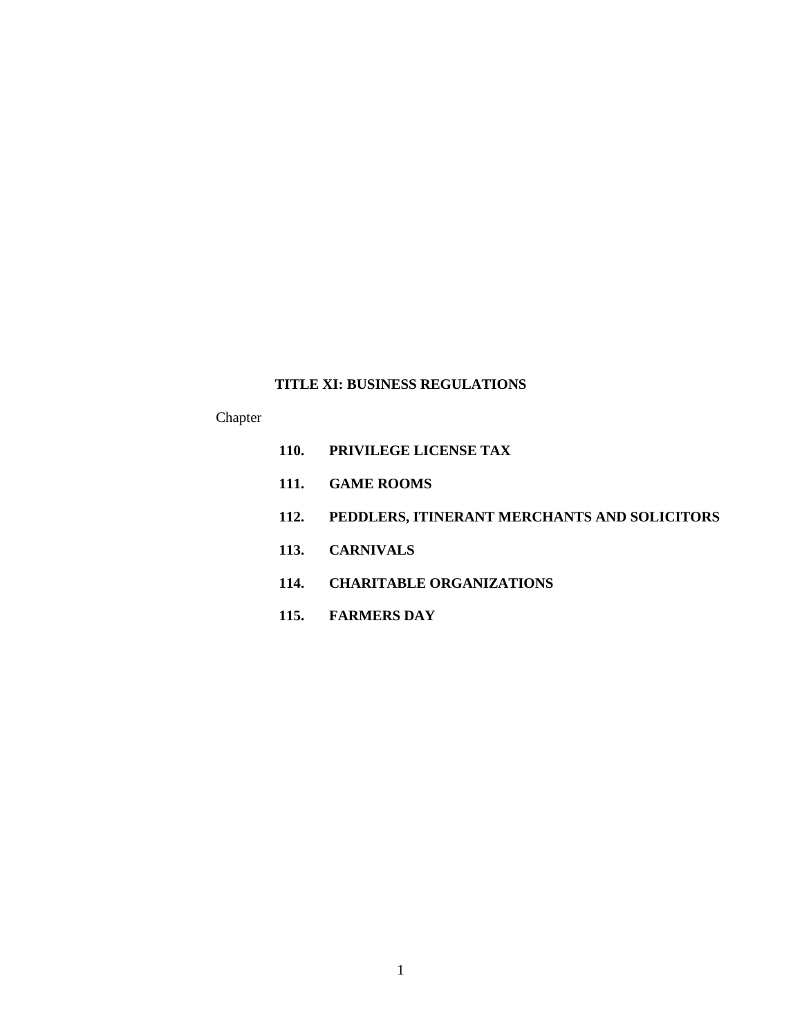# **TITLE XI: BUSINESS REGULATIONS**

# Chapter

- **110. PRIVILEGE LICENSE TAX**
- **111. GAME ROOMS**
- **112. PEDDLERS, ITINERANT MERCHANTS AND SOLICITORS**
- **113. CARNIVALS**
- **114. CHARITABLE ORGANIZATIONS**
- **115. FARMERS DAY**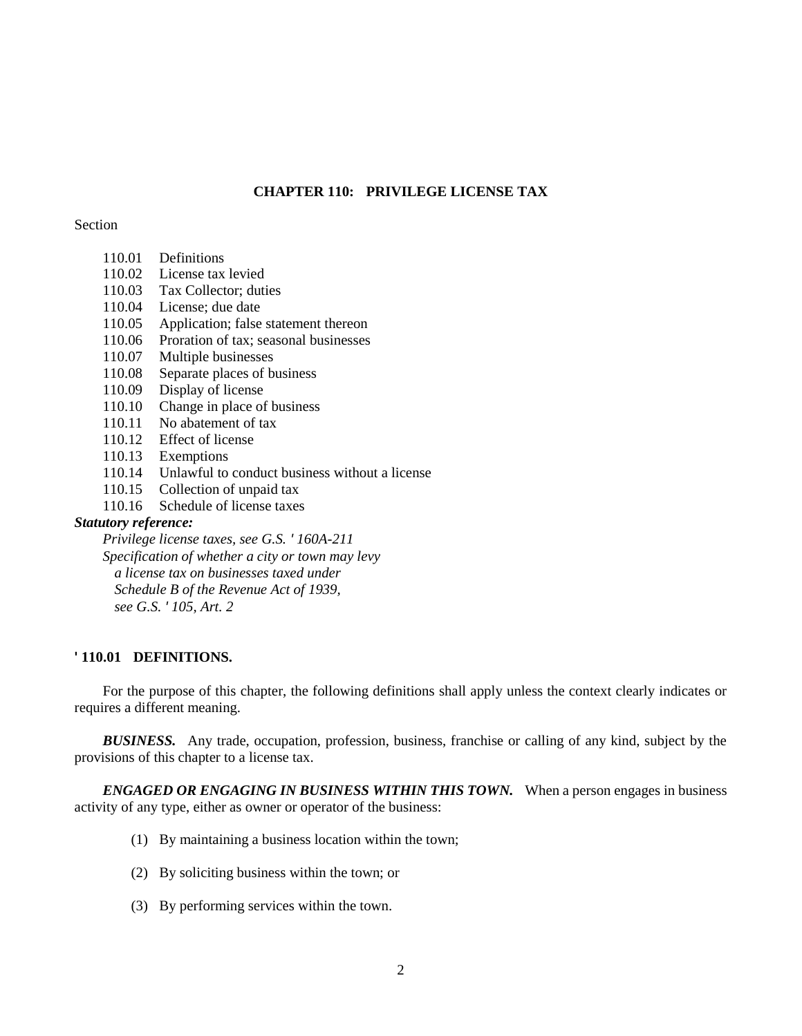# **CHAPTER 110: PRIVILEGE LICENSE TAX**

## Section

| 110.01           | Definitions                                 |
|------------------|---------------------------------------------|
| 110.02           | License tax levied                          |
| 110.03           | Tax Collector; duties                       |
| 110.04           | License; due date                           |
| 110.05           | Application; false statement thereon        |
| 110.06           | Proration of tax; seasonal businesses       |
| 110.07           | Multiple businesses                         |
| 110.08           | Separate places of business                 |
| 110.09           | Display of license                          |
| 110.10           | Change in place of business                 |
| 110.11           | No abatement of tax                         |
| 110.12           | Effect of license                           |
| 110.13           | Exemptions                                  |
| 110.14           | Unlawful to conduct business without a      |
| 110.15           | Collection of unpaid tax                    |
| 110.16           | Schedule of license taxes                   |
| utory reference: |                                             |
|                  | Privilege license taxes, see G.S. '160A-211 |
|                  |                                             |

# *Statutory reference:*

*Specification of whether a city or town may levy a license tax on businesses taxed under Schedule B of the Revenue Act of 1939, see G.S. ' 105, Art. 2*

## **' 110.01 DEFINITIONS.**

For the purpose of this chapter, the following definitions shall apply unless the context clearly indicates or requires a different meaning.

license

*BUSINESS.* Any trade, occupation, profession, business, franchise or calling of any kind, subject by the provisions of this chapter to a license tax.

*ENGAGED OR ENGAGING IN BUSINESS WITHIN THIS TOWN.* When a person engages in business activity of any type, either as owner or operator of the business:

- (1) By maintaining a business location within the town;
- (2) By soliciting business within the town; or
- (3) By performing services within the town.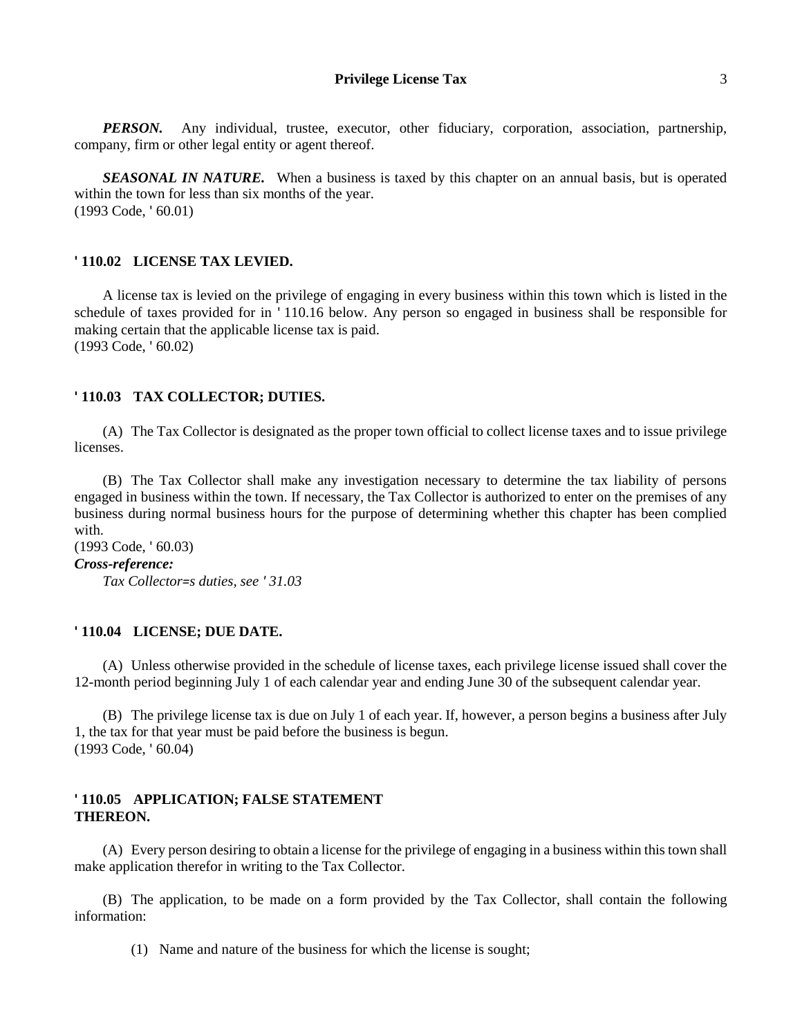#### **Privilege License Tax** 3

*PERSON.* Any individual, trustee, executor, other fiduciary, corporation, association, partnership, company, firm or other legal entity or agent thereof.

**SEASONAL IN NATURE.** When a business is taxed by this chapter on an annual basis, but is operated within the town for less than six months of the year. (1993 Code, ' 60.01)

#### **' 110.02 LICENSE TAX LEVIED.**

A license tax is levied on the privilege of engaging in every business within this town which is listed in the schedule of taxes provided for in ' 110.16 below. Any person so engaged in business shall be responsible for making certain that the applicable license tax is paid. (1993 Code, ' 60.02)

#### **' 110.03 TAX COLLECTOR; DUTIES.**

(A) The Tax Collector is designated as the proper town official to collect license taxes and to issue privilege licenses.

(B) The Tax Collector shall make any investigation necessary to determine the tax liability of persons engaged in business within the town. If necessary, the Tax Collector is authorized to enter on the premises of any business during normal business hours for the purpose of determining whether this chapter has been complied with.

(1993 Code, ' 60.03) *Cross-reference: Tax Collector=s duties, see ' 31.03*

#### **' 110.04 LICENSE; DUE DATE.**

(A) Unless otherwise provided in the schedule of license taxes, each privilege license issued shall cover the 12-month period beginning July 1 of each calendar year and ending June 30 of the subsequent calendar year.

(B) The privilege license tax is due on July 1 of each year. If, however, a person begins a business after July 1, the tax for that year must be paid before the business is begun. (1993 Code, ' 60.04)

### **' 110.05 APPLICATION; FALSE STATEMENT THEREON.**

(A) Every person desiring to obtain a license for the privilege of engaging in a business within this town shall make application therefor in writing to the Tax Collector.

(B) The application, to be made on a form provided by the Tax Collector, shall contain the following information:

(1) Name and nature of the business for which the license is sought;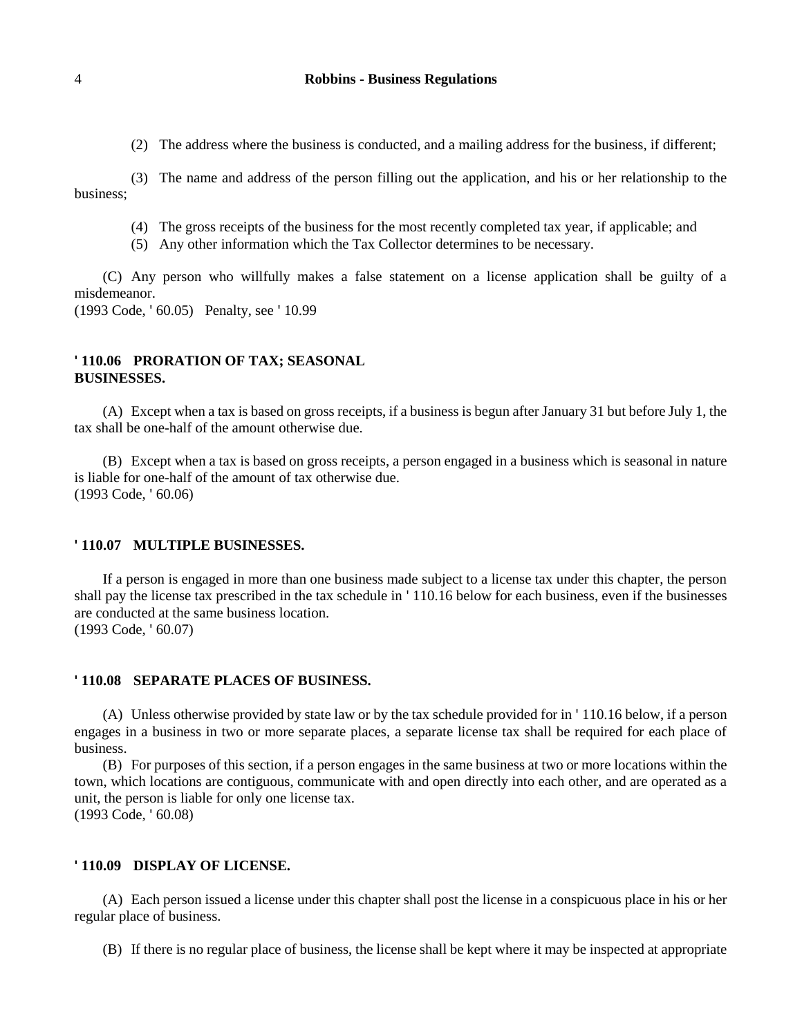(2) The address where the business is conducted, and a mailing address for the business, if different;

(3) The name and address of the person filling out the application, and his or her relationship to the business;

- (4) The gross receipts of the business for the most recently completed tax year, if applicable; and
- (5) Any other information which the Tax Collector determines to be necessary.

(C) Any person who willfully makes a false statement on a license application shall be guilty of a misdemeanor.

(1993 Code, ' 60.05) Penalty, see ' 10.99

## **' 110.06 PRORATION OF TAX; SEASONAL BUSINESSES.**

(A) Except when a tax is based on gross receipts, if a business is begun after January 31 but before July 1, the tax shall be one-half of the amount otherwise due.

(B) Except when a tax is based on gross receipts, a person engaged in a business which is seasonal in nature is liable for one-half of the amount of tax otherwise due. (1993 Code, ' 60.06)

#### **' 110.07 MULTIPLE BUSINESSES.**

If a person is engaged in more than one business made subject to a license tax under this chapter, the person shall pay the license tax prescribed in the tax schedule in ' 110.16 below for each business, even if the businesses are conducted at the same business location. (1993 Code, ' 60.07)

#### **' 110.08 SEPARATE PLACES OF BUSINESS.**

(A) Unless otherwise provided by state law or by the tax schedule provided for in ' 110.16 below, if a person engages in a business in two or more separate places, a separate license tax shall be required for each place of business.

(B) For purposes of this section, if a person engages in the same business at two or more locations within the town, which locations are contiguous, communicate with and open directly into each other, and are operated as a unit, the person is liable for only one license tax. (1993 Code, ' 60.08)

## **' 110.09 DISPLAY OF LICENSE.**

(A) Each person issued a license under this chapter shall post the license in a conspicuous place in his or her regular place of business.

(B) If there is no regular place of business, the license shall be kept where it may be inspected at appropriate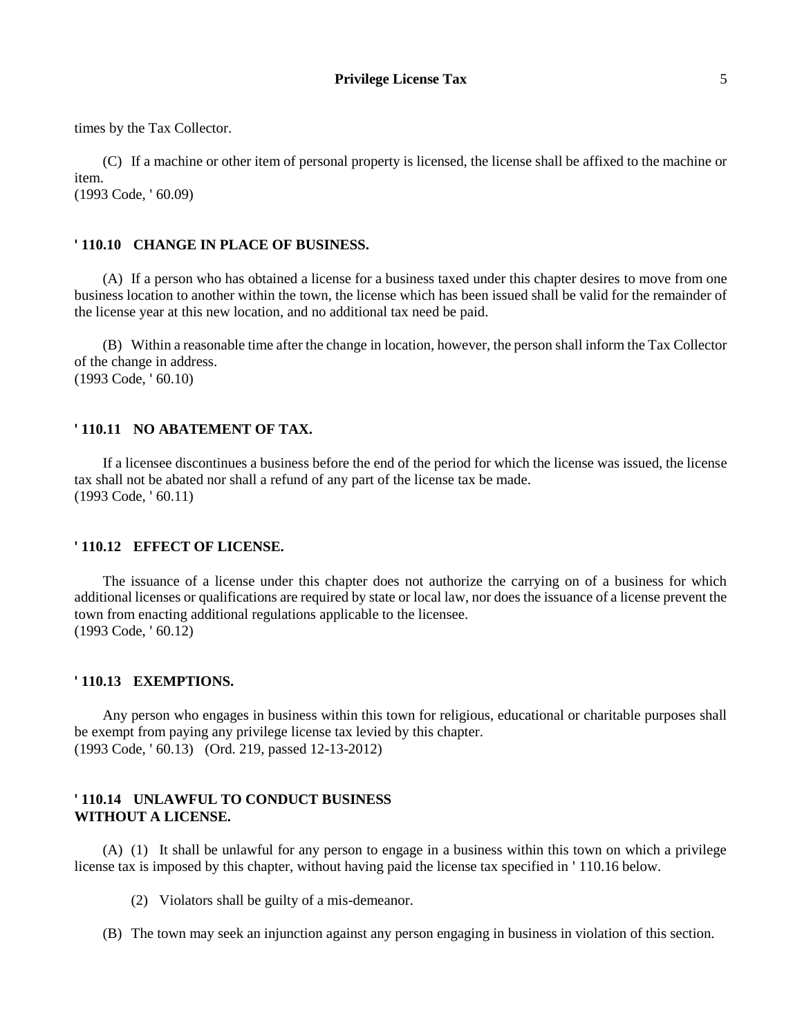times by the Tax Collector.

(C) If a machine or other item of personal property is licensed, the license shall be affixed to the machine or item. (1993 Code, ' 60.09)

# **' 110.10 CHANGE IN PLACE OF BUSINESS.**

(A) If a person who has obtained a license for a business taxed under this chapter desires to move from one business location to another within the town, the license which has been issued shall be valid for the remainder of the license year at this new location, and no additional tax need be paid.

(B) Within a reasonable time after the change in location, however, the person shall inform the Tax Collector of the change in address. (1993 Code, ' 60.10)

#### **' 110.11 NO ABATEMENT OF TAX.**

If a licensee discontinues a business before the end of the period for which the license was issued, the license tax shall not be abated nor shall a refund of any part of the license tax be made. (1993 Code, ' 60.11)

#### **' 110.12 EFFECT OF LICENSE.**

The issuance of a license under this chapter does not authorize the carrying on of a business for which additional licenses or qualifications are required by state or local law, nor does the issuance of a license prevent the town from enacting additional regulations applicable to the licensee. (1993 Code, ' 60.12)

#### **' 110.13 EXEMPTIONS.**

Any person who engages in business within this town for religious, educational or charitable purposes shall be exempt from paying any privilege license tax levied by this chapter. (1993 Code, ' 60.13) (Ord. 219, passed 12-13-2012)

## **' 110.14 UNLAWFUL TO CONDUCT BUSINESS WITHOUT A LICENSE.**

(A) (1) It shall be unlawful for any person to engage in a business within this town on which a privilege license tax is imposed by this chapter, without having paid the license tax specified in ' 110.16 below.

(2) Violators shall be guilty of a mis-demeanor.

(B) The town may seek an injunction against any person engaging in business in violation of this section.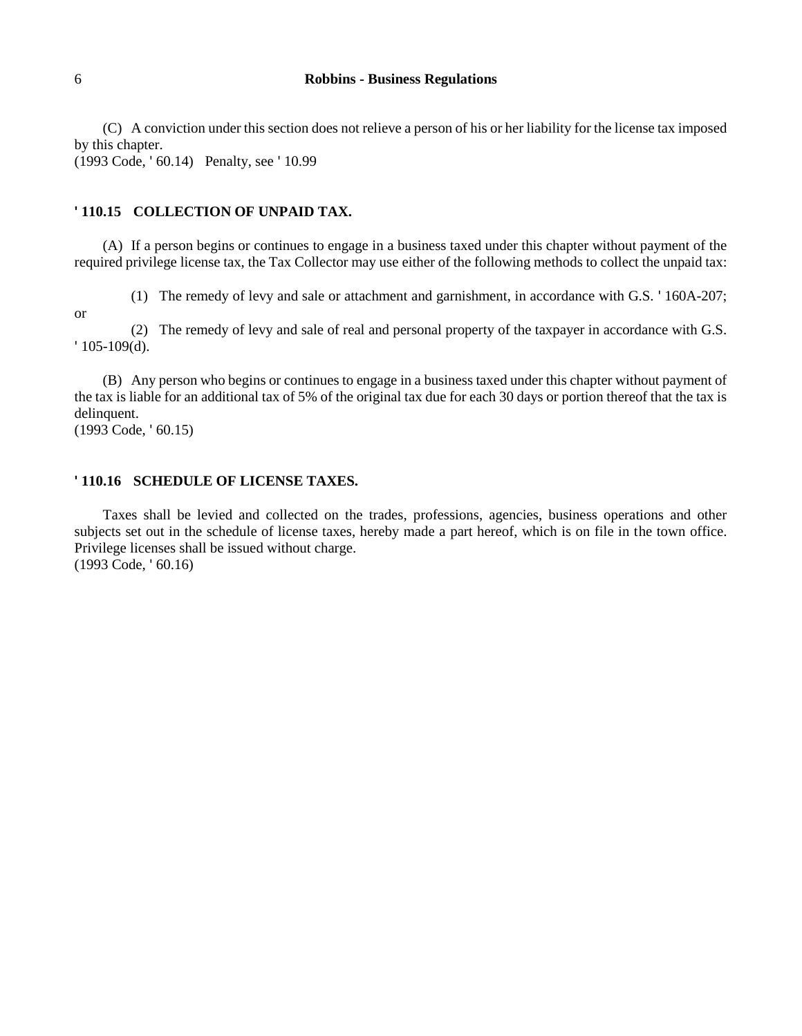(C) A conviction under this section does not relieve a person of his or her liability for the license tax imposed by this chapter.

(1993 Code, ' 60.14) Penalty, see ' 10.99

#### **' 110.15 COLLECTION OF UNPAID TAX.**

(A) If a person begins or continues to engage in a business taxed under this chapter without payment of the required privilege license tax, the Tax Collector may use either of the following methods to collect the unpaid tax:

(1) The remedy of levy and sale or attachment and garnishment, in accordance with G.S. ' 160A-207;

or

(2) The remedy of levy and sale of real and personal property of the taxpayer in accordance with G.S. ' 105-109(d).

(B) Any person who begins or continues to engage in a business taxed under this chapter without payment of the tax is liable for an additional tax of 5% of the original tax due for each 30 days or portion thereof that the tax is delinquent.

(1993 Code, ' 60.15)

#### **' 110.16 SCHEDULE OF LICENSE TAXES.**

Taxes shall be levied and collected on the trades, professions, agencies, business operations and other subjects set out in the schedule of license taxes, hereby made a part hereof, which is on file in the town office. Privilege licenses shall be issued without charge. (1993 Code, ' 60.16)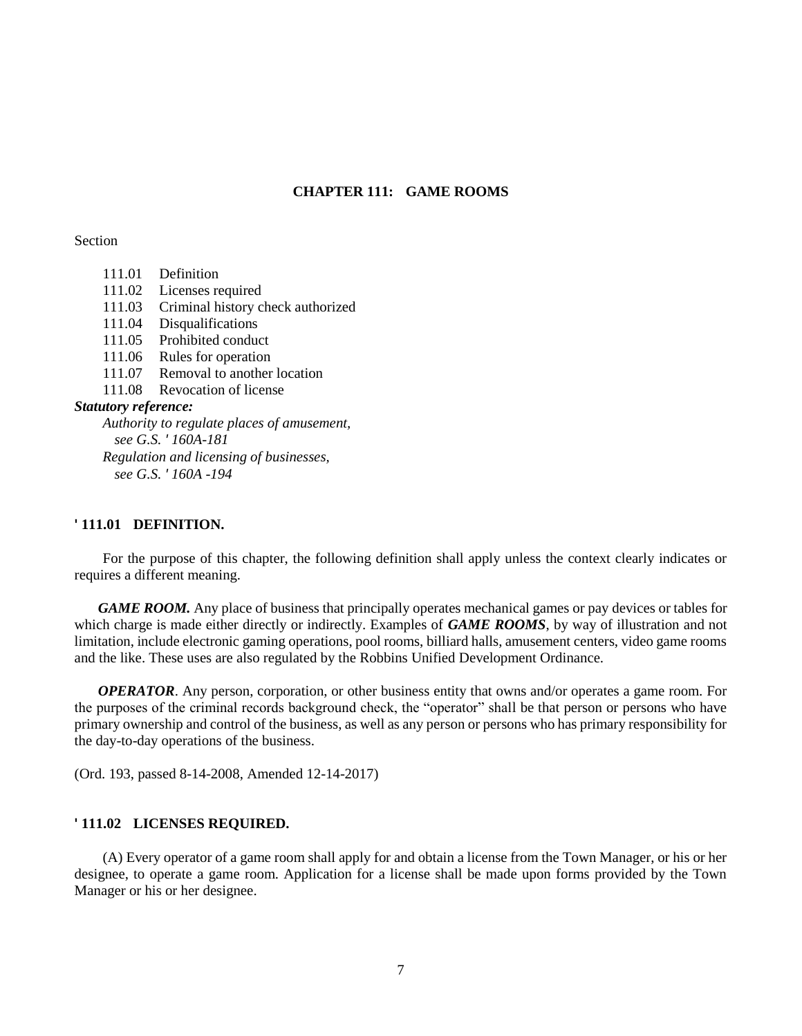# **CHAPTER 111: GAME ROOMS**

Section

111.01 Definition 111.02 Licenses required 111.03 Criminal history check authorized 111.04 Disqualifications 111.05 Prohibited conduct 111.06 Rules for operation 111.07 Removal to another location 111.08 Revocation of license *Statutory reference: Authority to regulate places of amusement, see G.S. ' 160A-181 Regulation and licensing of businesses, see G.S. ' 160A -194*

### **' 111.01 DEFINITION.**

For the purpose of this chapter, the following definition shall apply unless the context clearly indicates or requires a different meaning.

*GAME ROOM.* Any place of business that principally operates mechanical games or pay devices or tables for which charge is made either directly or indirectly. Examples of *GAME ROOMS*, by way of illustration and not limitation, include electronic gaming operations, pool rooms, billiard halls, amusement centers, video game rooms and the like. These uses are also regulated by the Robbins Unified Development Ordinance.

*OPERATOR*. Any person, corporation, or other business entity that owns and/or operates a game room. For the purposes of the criminal records background check, the "operator" shall be that person or persons who have primary ownership and control of the business, as well as any person or persons who has primary responsibility for the day-to-day operations of the business.

(Ord. 193, passed 8-14-2008, Amended 12-14-2017)

#### **' 111.02 LICENSES REQUIRED.**

(A) Every operator of a game room shall apply for and obtain a license from the Town Manager, or his or her designee, to operate a game room. Application for a license shall be made upon forms provided by the Town Manager or his or her designee.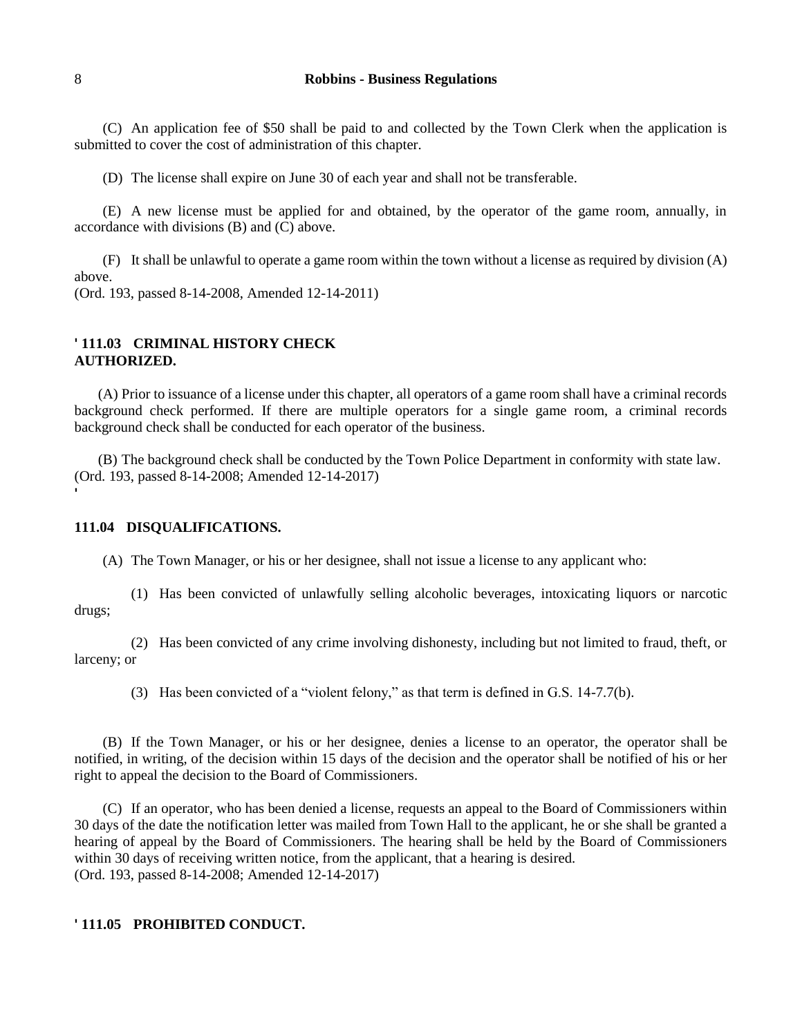(C) An application fee of \$50 shall be paid to and collected by the Town Clerk when the application is submitted to cover the cost of administration of this chapter.

(D) The license shall expire on June 30 of each year and shall not be transferable.

(E) A new license must be applied for and obtained, by the operator of the game room, annually, in accordance with divisions (B) and (C) above.

(F) It shall be unlawful to operate a game room within the town without a license as required by division (A) above.

(Ord. 193, passed 8-14-2008, Amended 12-14-2011)

# **' 111.03 CRIMINAL HISTORY CHECK AUTHORIZED.**

(A) Prior to issuance of a license under this chapter, all operators of a game room shall have a criminal records background check performed. If there are multiple operators for a single game room, a criminal records background check shall be conducted for each operator of the business.

(B) The background check shall be conducted by the Town Police Department in conformity with state law. (Ord. 193, passed 8-14-2008; Amended 12-14-2017)

## **111.04 DISQUALIFICATIONS.**

(A) The Town Manager, or his or her designee, shall not issue a license to any applicant who:

(1) Has been convicted of unlawfully selling alcoholic beverages, intoxicating liquors or narcotic drugs;

(2) Has been convicted of any crime involving dishonesty, including but not limited to fraud, theft, or larceny; or

(3) Has been convicted of a "violent felony," as that term is defined in G.S. 14-7.7(b).

(B) If the Town Manager, or his or her designee, denies a license to an operator, the operator shall be notified, in writing, of the decision within 15 days of the decision and the operator shall be notified of his or her right to appeal the decision to the Board of Commissioners.

(C) If an operator, who has been denied a license, requests an appeal to the Board of Commissioners within 30 days of the date the notification letter was mailed from Town Hall to the applicant, he or she shall be granted a hearing of appeal by the Board of Commissioners. The hearing shall be held by the Board of Commissioners within 30 days of receiving written notice, from the applicant, that a hearing is desired. (Ord. 193, passed 8-14-2008; Amended 12-14-2017)

## **' 111.05 PROHIBITED CONDUCT.**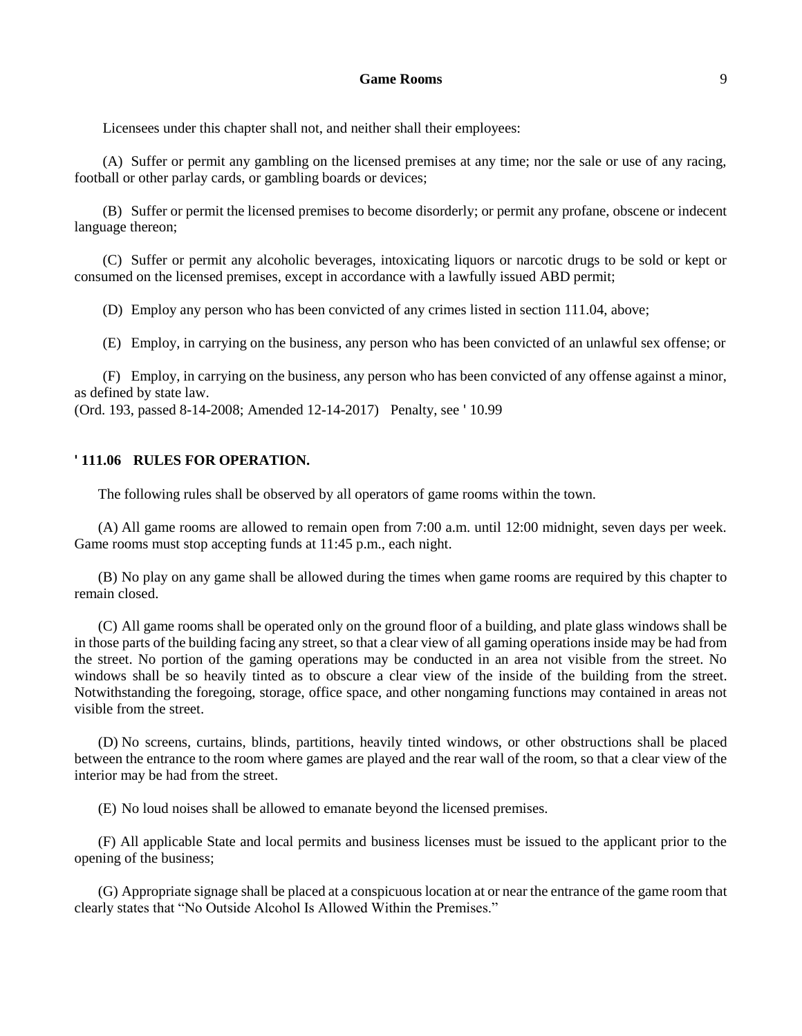## **Game Rooms** 9

Licensees under this chapter shall not, and neither shall their employees:

(A) Suffer or permit any gambling on the licensed premises at any time; nor the sale or use of any racing, football or other parlay cards, or gambling boards or devices;

(B) Suffer or permit the licensed premises to become disorderly; or permit any profane, obscene or indecent language thereon;

(C) Suffer or permit any alcoholic beverages, intoxicating liquors or narcotic drugs to be sold or kept or consumed on the licensed premises, except in accordance with a lawfully issued ABD permit;

(D) Employ any person who has been convicted of any crimes listed in section 111.04, above;

(E) Employ, in carrying on the business, any person who has been convicted of an unlawful sex offense; or

(F) Employ, in carrying on the business, any person who has been convicted of any offense against a minor, as defined by state law.

(Ord. 193, passed 8-14-2008; Amended 12-14-2017) Penalty, see ' 10.99

#### **' 111.06 RULES FOR OPERATION.**

The following rules shall be observed by all operators of game rooms within the town.

(A) All game rooms are allowed to remain open from 7:00 a.m. until 12:00 midnight, seven days per week. Game rooms must stop accepting funds at 11:45 p.m., each night.

(B) No play on any game shall be allowed during the times when game rooms are required by this chapter to remain closed.

(C) All game rooms shall be operated only on the ground floor of a building, and plate glass windows shall be in those parts of the building facing any street, so that a clear view of all gaming operations inside may be had from the street. No portion of the gaming operations may be conducted in an area not visible from the street. No windows shall be so heavily tinted as to obscure a clear view of the inside of the building from the street. Notwithstanding the foregoing, storage, office space, and other nongaming functions may contained in areas not visible from the street.

(D) No screens, curtains, blinds, partitions, heavily tinted windows, or other obstructions shall be placed between the entrance to the room where games are played and the rear wall of the room, so that a clear view of the interior may be had from the street.

(E) No loud noises shall be allowed to emanate beyond the licensed premises.

(F) All applicable State and local permits and business licenses must be issued to the applicant prior to the opening of the business;

(G) Appropriate signage shall be placed at a conspicuous location at or near the entrance of the game room that clearly states that "No Outside Alcohol Is Allowed Within the Premises."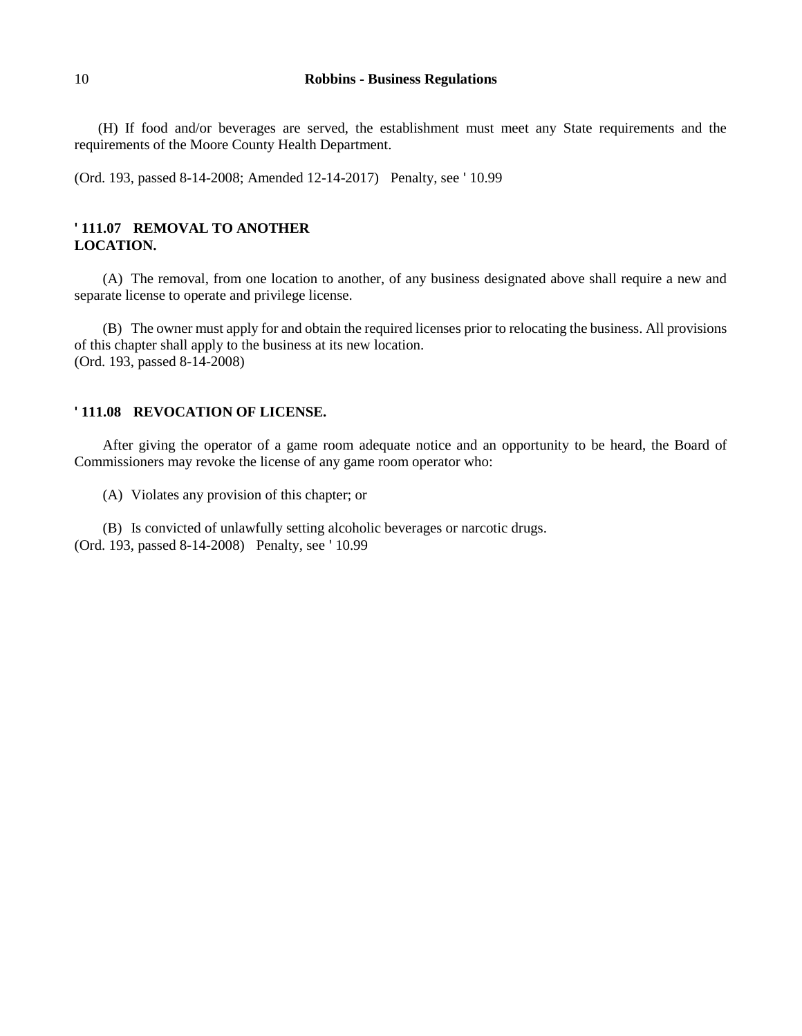(H) If food and/or beverages are served, the establishment must meet any State requirements and the requirements of the Moore County Health Department.

(Ord. 193, passed 8-14-2008; Amended 12-14-2017) Penalty, see ' 10.99

# **' 111.07 REMOVAL TO ANOTHER LOCATION.**

(A) The removal, from one location to another, of any business designated above shall require a new and separate license to operate and privilege license.

(B) The owner must apply for and obtain the required licenses prior to relocating the business. All provisions of this chapter shall apply to the business at its new location. (Ord. 193, passed 8-14-2008)

#### **' 111.08 REVOCATION OF LICENSE.**

After giving the operator of a game room adequate notice and an opportunity to be heard, the Board of Commissioners may revoke the license of any game room operator who:

(A) Violates any provision of this chapter; or

(B) Is convicted of unlawfully setting alcoholic beverages or narcotic drugs. (Ord. 193, passed 8-14-2008) Penalty, see ' 10.99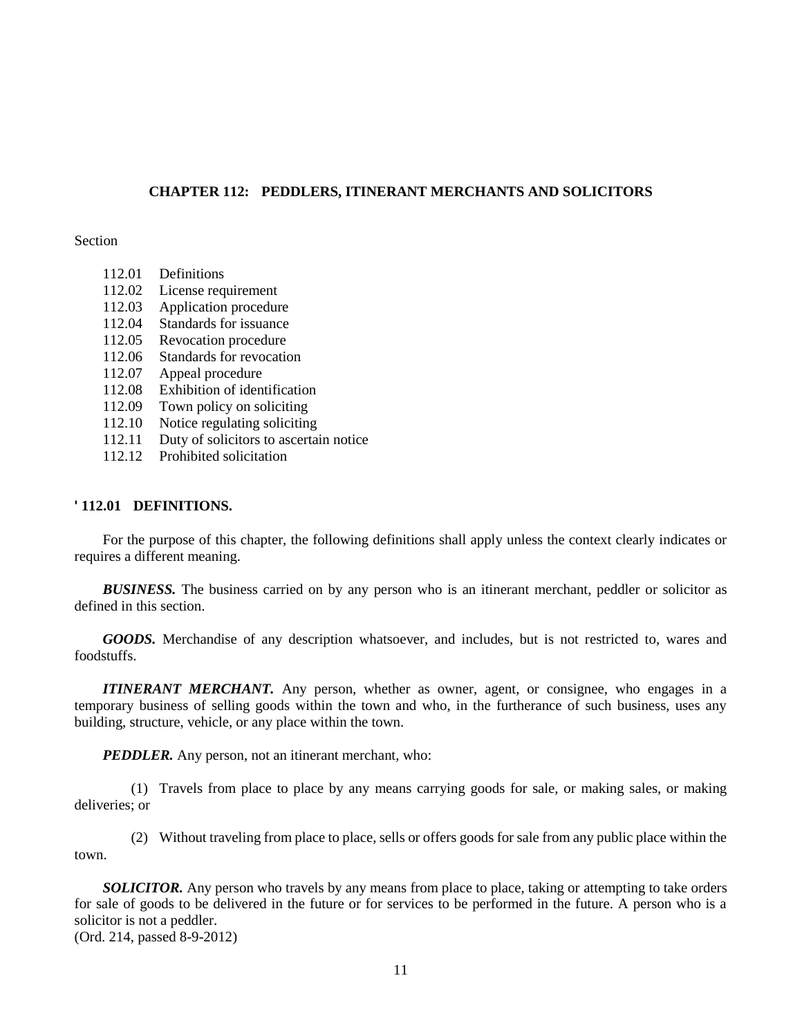# **CHAPTER 112: PEDDLERS, ITINERANT MERCHANTS AND SOLICITORS**

## Section

- 112.01 Definitions
- 112.02 License requirement
- 112.03 Application procedure
- 112.04 Standards for issuance
- 112.05 Revocation procedure
- 112.06 Standards for revocation
- 112.07 Appeal procedure
- 112.08 Exhibition of identification
- 112.09 Town policy on soliciting
- 112.10 Notice regulating soliciting
- 112.11 Duty of solicitors to ascertain notice
- 112.12 Prohibited solicitation

#### **' 112.01 DEFINITIONS.**

For the purpose of this chapter, the following definitions shall apply unless the context clearly indicates or requires a different meaning.

**BUSINESS.** The business carried on by any person who is an itinerant merchant, peddler or solicitor as defined in this section.

GOODS. Merchandise of any description whatsoever, and includes, but is not restricted to, wares and foodstuffs.

*ITINERANT MERCHANT*. Any person, whether as owner, agent, or consignee, who engages in a temporary business of selling goods within the town and who, in the furtherance of such business, uses any building, structure, vehicle, or any place within the town.

*PEDDLER.* Any person, not an itinerant merchant, who:

(1) Travels from place to place by any means carrying goods for sale, or making sales, or making deliveries; or

(2) Without traveling from place to place, sells or offers goods for sale from any public place within the town.

*SOLICITOR.* Any person who travels by any means from place to place, taking or attempting to take orders for sale of goods to be delivered in the future or for services to be performed in the future. A person who is a solicitor is not a peddler.

(Ord. 214, passed 8-9-2012)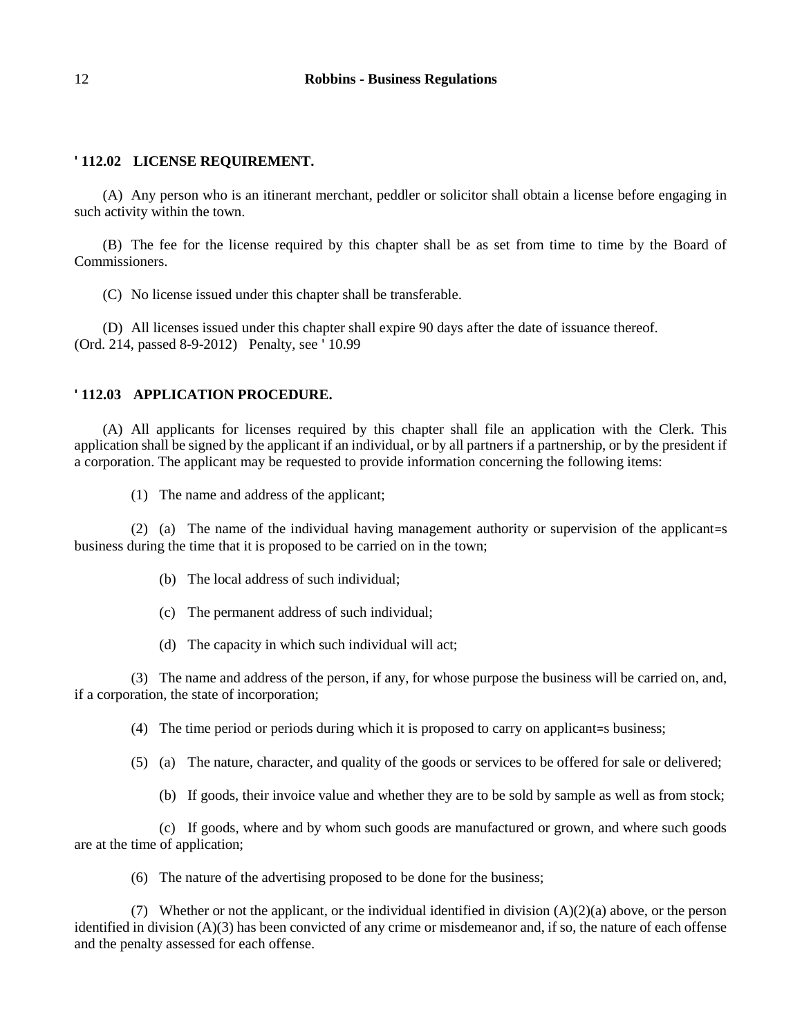# **' 112.02 LICENSE REQUIREMENT.**

(A) Any person who is an itinerant merchant, peddler or solicitor shall obtain a license before engaging in such activity within the town.

(B) The fee for the license required by this chapter shall be as set from time to time by the Board of Commissioners.

(C) No license issued under this chapter shall be transferable.

(D) All licenses issued under this chapter shall expire 90 days after the date of issuance thereof. (Ord. 214, passed 8-9-2012) Penalty, see ' 10.99

## **' 112.03 APPLICATION PROCEDURE.**

(A) All applicants for licenses required by this chapter shall file an application with the Clerk. This application shall be signed by the applicant if an individual, or by all partners if a partnership, or by the president if a corporation. The applicant may be requested to provide information concerning the following items:

(1) The name and address of the applicant;

(2) (a) The name of the individual having management authority or supervision of the applicant=s business during the time that it is proposed to be carried on in the town;

- (b) The local address of such individual;
- (c) The permanent address of such individual;
- (d) The capacity in which such individual will act;

(3) The name and address of the person, if any, for whose purpose the business will be carried on, and, if a corporation, the state of incorporation;

(4) The time period or periods during which it is proposed to carry on applicant=s business;

- (5) (a) The nature, character, and quality of the goods or services to be offered for sale or delivered;
	- (b) If goods, their invoice value and whether they are to be sold by sample as well as from stock;

(c) If goods, where and by whom such goods are manufactured or grown, and where such goods are at the time of application;

(6) The nature of the advertising proposed to be done for the business;

(7) Whether or not the applicant, or the individual identified in division  $(A)(2)(a)$  above, or the person identified in division (A)(3) has been convicted of any crime or misdemeanor and, if so, the nature of each offense and the penalty assessed for each offense.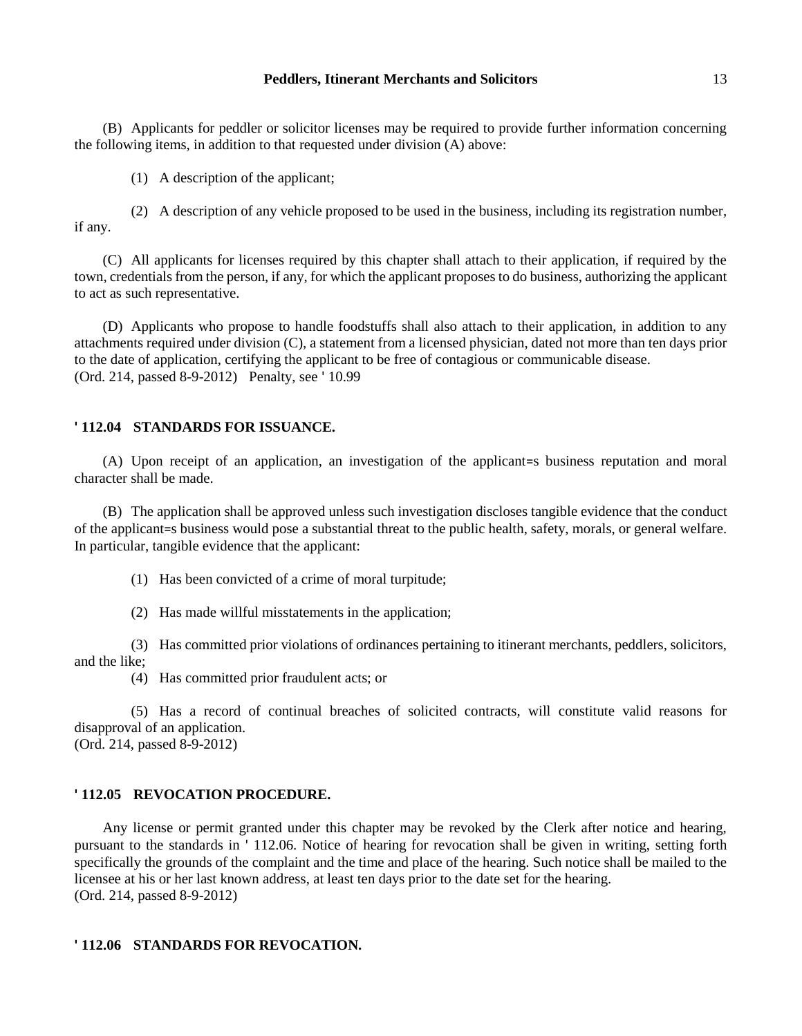#### **Peddlers, Itinerant Merchants and Solicitors** 13

(B) Applicants for peddler or solicitor licenses may be required to provide further information concerning the following items, in addition to that requested under division (A) above:

(1) A description of the applicant;

(2) A description of any vehicle proposed to be used in the business, including its registration number, if any.

(C) All applicants for licenses required by this chapter shall attach to their application, if required by the town, credentials from the person, if any, for which the applicant proposes to do business, authorizing the applicant to act as such representative.

(D) Applicants who propose to handle foodstuffs shall also attach to their application, in addition to any attachments required under division (C), a statement from a licensed physician, dated not more than ten days prior to the date of application, certifying the applicant to be free of contagious or communicable disease. (Ord. 214, passed 8-9-2012) Penalty, see ' 10.99

## **' 112.04 STANDARDS FOR ISSUANCE.**

(A) Upon receipt of an application, an investigation of the applicant=s business reputation and moral character shall be made.

(B) The application shall be approved unless such investigation discloses tangible evidence that the conduct of the applicant=s business would pose a substantial threat to the public health, safety, morals, or general welfare. In particular, tangible evidence that the applicant:

(1) Has been convicted of a crime of moral turpitude;

(2) Has made willful misstatements in the application;

(3) Has committed prior violations of ordinances pertaining to itinerant merchants, peddlers, solicitors, and the like;

(4) Has committed prior fraudulent acts; or

(5) Has a record of continual breaches of solicited contracts, will constitute valid reasons for disapproval of an application. (Ord. 214, passed 8-9-2012)

## **' 112.05 REVOCATION PROCEDURE.**

Any license or permit granted under this chapter may be revoked by the Clerk after notice and hearing, pursuant to the standards in ' 112.06. Notice of hearing for revocation shall be given in writing, setting forth specifically the grounds of the complaint and the time and place of the hearing. Such notice shall be mailed to the licensee at his or her last known address, at least ten days prior to the date set for the hearing. (Ord. 214, passed 8-9-2012)

#### **' 112.06 STANDARDS FOR REVOCATION.**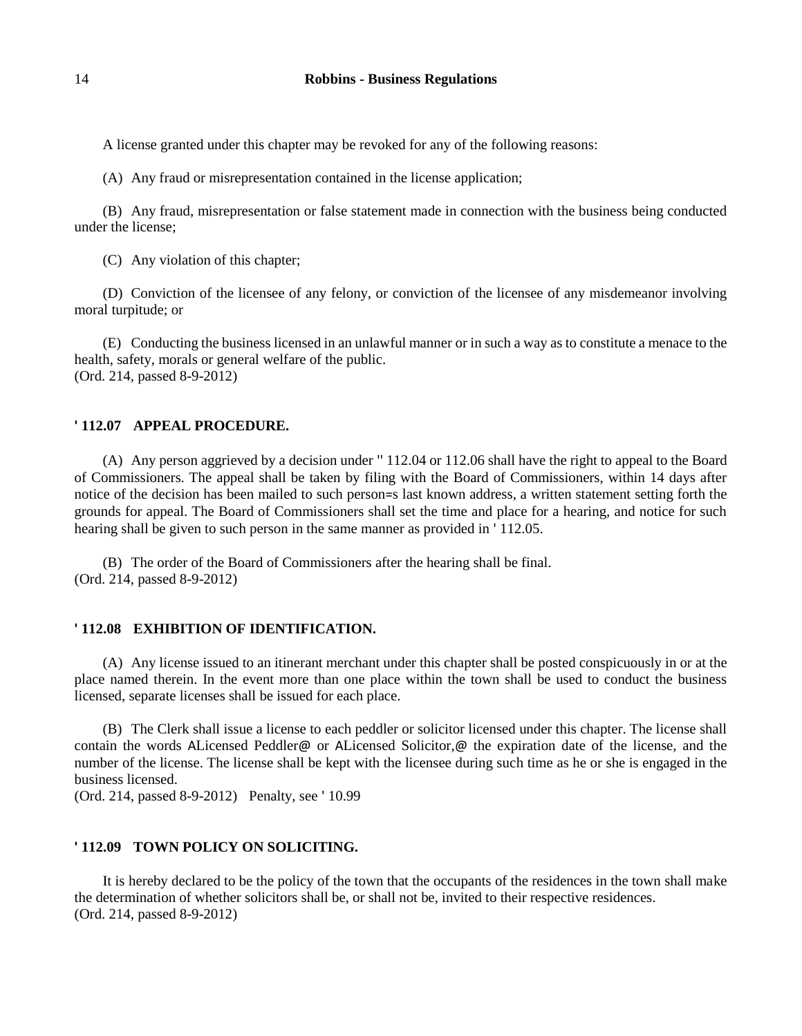A license granted under this chapter may be revoked for any of the following reasons:

(A) Any fraud or misrepresentation contained in the license application;

(B) Any fraud, misrepresentation or false statement made in connection with the business being conducted under the license;

(C) Any violation of this chapter;

(D) Conviction of the licensee of any felony, or conviction of the licensee of any misdemeanor involving moral turpitude; or

(E) Conducting the business licensed in an unlawful manner or in such a way as to constitute a menace to the health, safety, morals or general welfare of the public. (Ord. 214, passed 8-9-2012)

#### **' 112.07 APPEAL PROCEDURE.**

(A) Any person aggrieved by a decision under '' 112.04 or 112.06 shall have the right to appeal to the Board of Commissioners. The appeal shall be taken by filing with the Board of Commissioners, within 14 days after notice of the decision has been mailed to such person=s last known address, a written statement setting forth the grounds for appeal. The Board of Commissioners shall set the time and place for a hearing, and notice for such hearing shall be given to such person in the same manner as provided in ' 112.05.

(B) The order of the Board of Commissioners after the hearing shall be final. (Ord. 214, passed 8-9-2012)

#### **' 112.08 EXHIBITION OF IDENTIFICATION.**

(A) Any license issued to an itinerant merchant under this chapter shall be posted conspicuously in or at the place named therein. In the event more than one place within the town shall be used to conduct the business licensed, separate licenses shall be issued for each place.

(B) The Clerk shall issue a license to each peddler or solicitor licensed under this chapter. The license shall contain the words ALicensed Peddler@ or ALicensed Solicitor,@ the expiration date of the license, and the number of the license. The license shall be kept with the licensee during such time as he or she is engaged in the business licensed.

(Ord. 214, passed 8-9-2012) Penalty, see ' 10.99

#### **' 112.09 TOWN POLICY ON SOLICITING.**

It is hereby declared to be the policy of the town that the occupants of the residences in the town shall make the determination of whether solicitors shall be, or shall not be, invited to their respective residences. (Ord. 214, passed 8-9-2012)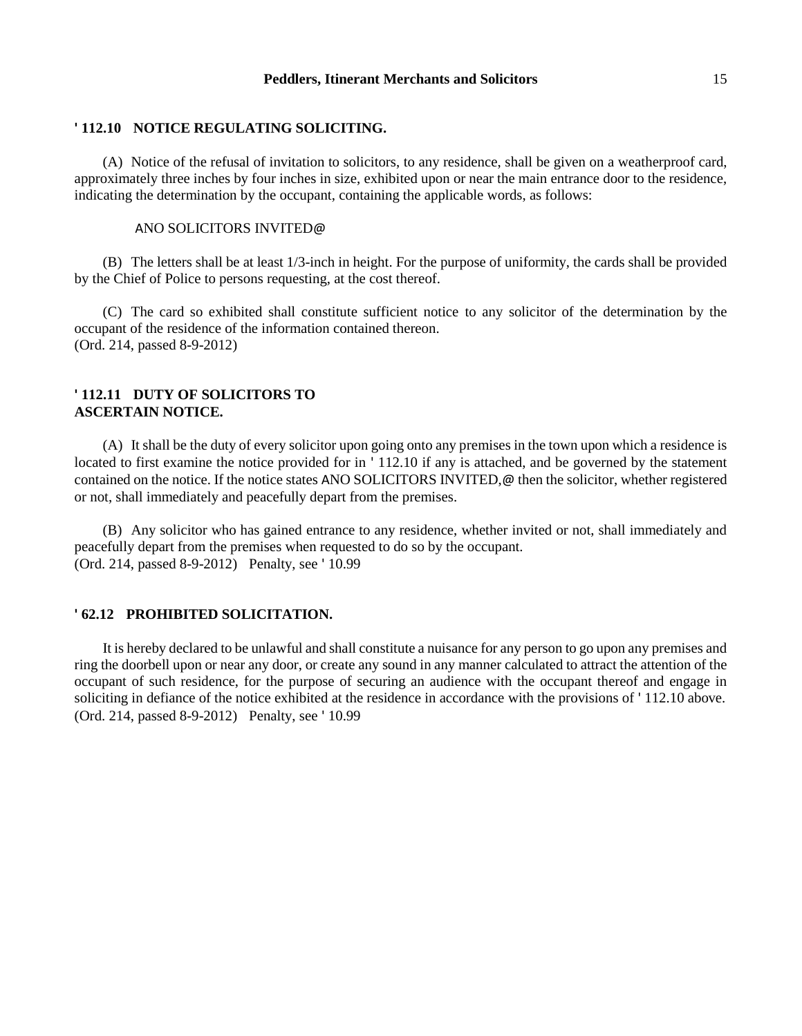### **' 112.10 NOTICE REGULATING SOLICITING.**

(A) Notice of the refusal of invitation to solicitors, to any residence, shall be given on a weatherproof card, approximately three inches by four inches in size, exhibited upon or near the main entrance door to the residence, indicating the determination by the occupant, containing the applicable words, as follows:

#### ANO SOLICITORS INVITED@

(B) The letters shall be at least 1/3-inch in height. For the purpose of uniformity, the cards shall be provided by the Chief of Police to persons requesting, at the cost thereof.

(C) The card so exhibited shall constitute sufficient notice to any solicitor of the determination by the occupant of the residence of the information contained thereon. (Ord. 214, passed 8-9-2012)

## **' 112.11 DUTY OF SOLICITORS TO ASCERTAIN NOTICE.**

(A) It shall be the duty of every solicitor upon going onto any premises in the town upon which a residence is located to first examine the notice provided for in ' 112.10 if any is attached, and be governed by the statement contained on the notice. If the notice states ANO SOLICITORS INVITED,@ then the solicitor, whether registered or not, shall immediately and peacefully depart from the premises.

(B) Any solicitor who has gained entrance to any residence, whether invited or not, shall immediately and peacefully depart from the premises when requested to do so by the occupant. (Ord. 214, passed 8-9-2012) Penalty, see ' 10.99

#### **' 62.12 PROHIBITED SOLICITATION.**

It is hereby declared to be unlawful and shall constitute a nuisance for any person to go upon any premises and ring the doorbell upon or near any door, or create any sound in any manner calculated to attract the attention of the occupant of such residence, for the purpose of securing an audience with the occupant thereof and engage in soliciting in defiance of the notice exhibited at the residence in accordance with the provisions of ' 112.10 above. (Ord. 214, passed 8-9-2012) Penalty, see ' 10.99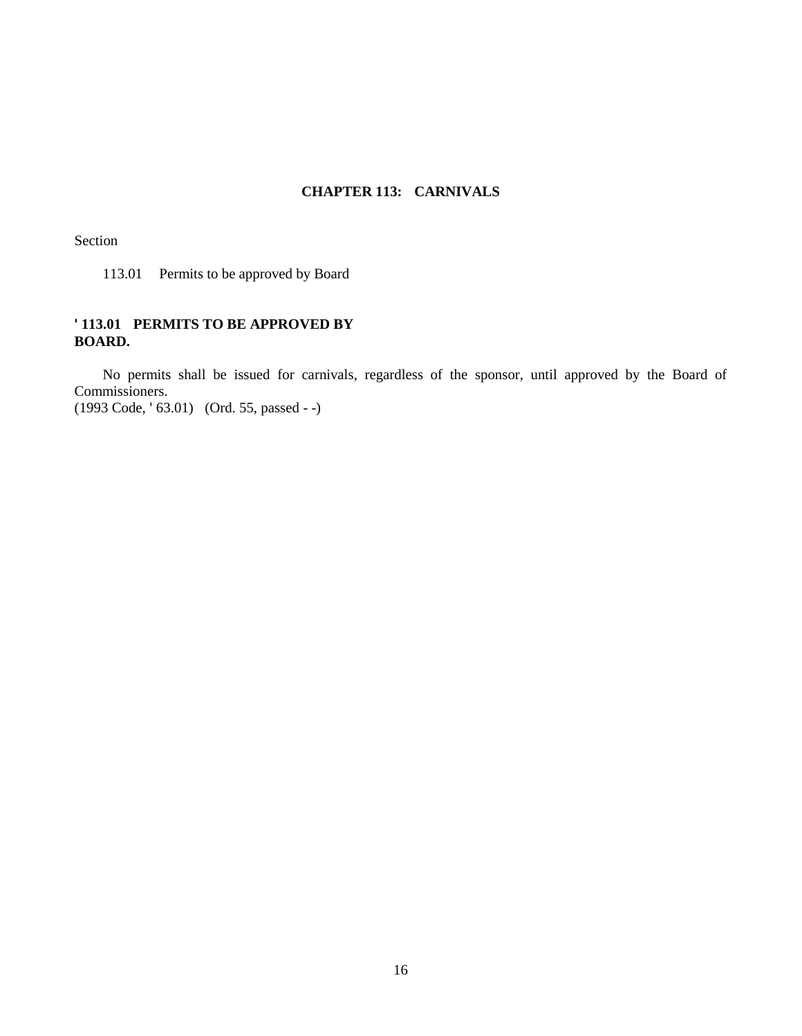# **CHAPTER 113: CARNIVALS**

Section

113.01 Permits to be approved by Board

# **' 113.01 PERMITS TO BE APPROVED BY BOARD.**

No permits shall be issued for carnivals, regardless of the sponsor, until approved by the Board of Commissioners.

(1993 Code, ' 63.01) (Ord. 55, passed - -)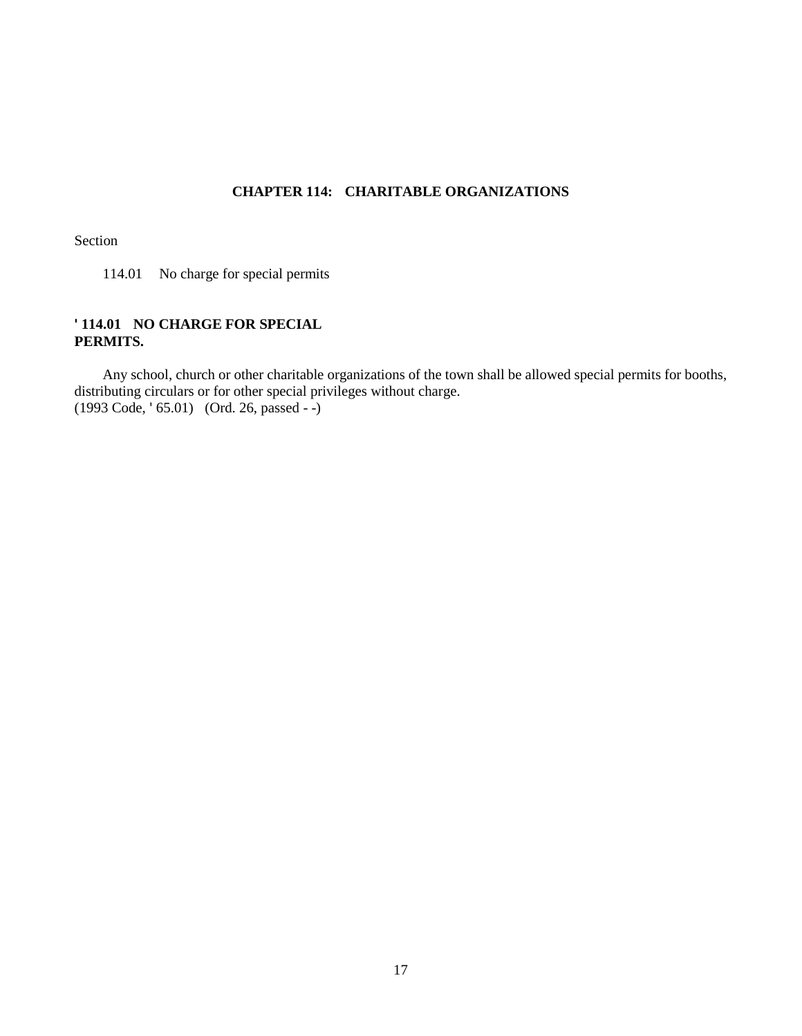# **CHAPTER 114: CHARITABLE ORGANIZATIONS**

Section

114.01 No charge for special permits

# **' 114.01 NO CHARGE FOR SPECIAL PERMITS.**

Any school, church or other charitable organizations of the town shall be allowed special permits for booths, distributing circulars or for other special privileges without charge. (1993 Code, ' 65.01) (Ord. 26, passed - -)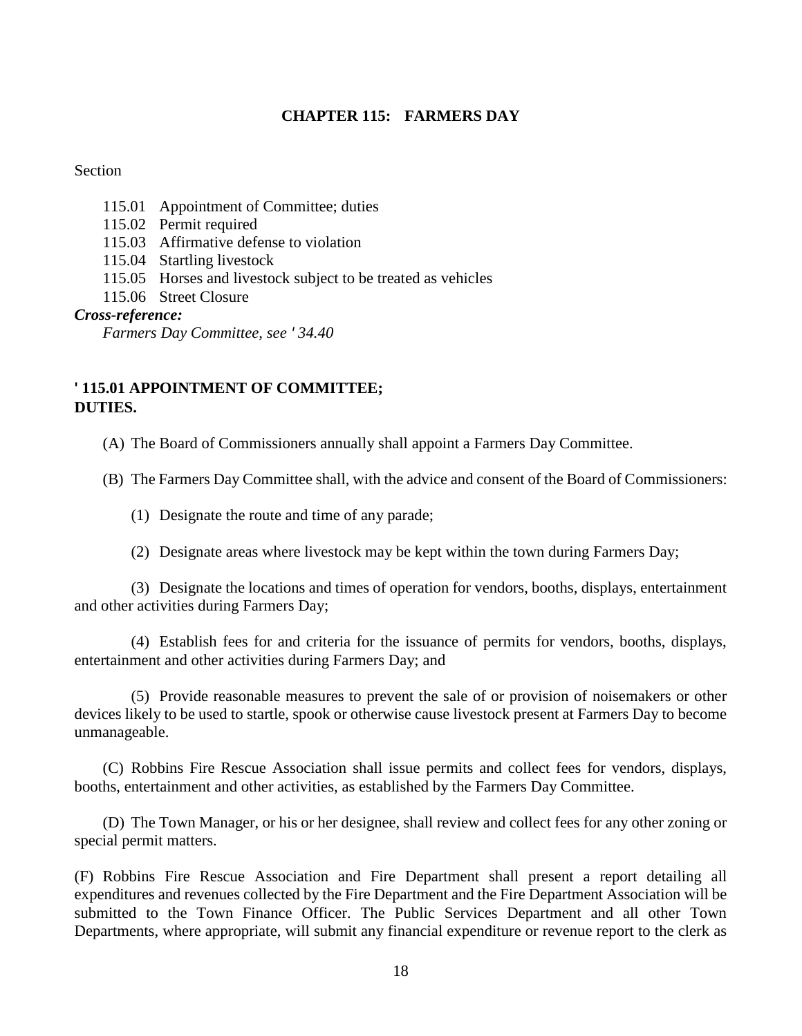# **CHAPTER 115: FARMERS DAY**

# Section

- 115.01 Appointment of Committee; duties
- 115.02 Permit required
- 115.03 Affirmative defense to violation
- 115.04 Startling livestock
- 115.05 Horses and livestock subject to be treated as vehicles
- 115.06 Street Closure

# *Cross-reference:*

*Farmers Day Committee, see ' 34.40*

# **' 115.01 APPOINTMENT OF COMMITTEE; DUTIES.**

(A) The Board of Commissioners annually shall appoint a Farmers Day Committee.

(B) The Farmers Day Committee shall, with the advice and consent of the Board of Commissioners:

- (1) Designate the route and time of any parade;
- (2) Designate areas where livestock may be kept within the town during Farmers Day;

(3) Designate the locations and times of operation for vendors, booths, displays, entertainment and other activities during Farmers Day;

(4) Establish fees for and criteria for the issuance of permits for vendors, booths, displays, entertainment and other activities during Farmers Day; and

(5) Provide reasonable measures to prevent the sale of or provision of noisemakers or other devices likely to be used to startle, spook or otherwise cause livestock present at Farmers Day to become unmanageable.

(C) Robbins Fire Rescue Association shall issue permits and collect fees for vendors, displays, booths, entertainment and other activities, as established by the Farmers Day Committee.

(D) The Town Manager, or his or her designee, shall review and collect fees for any other zoning or special permit matters.

(F) Robbins Fire Rescue Association and Fire Department shall present a report detailing all expenditures and revenues collected by the Fire Department and the Fire Department Association will be submitted to the Town Finance Officer. The Public Services Department and all other Town Departments, where appropriate, will submit any financial expenditure or revenue report to the clerk as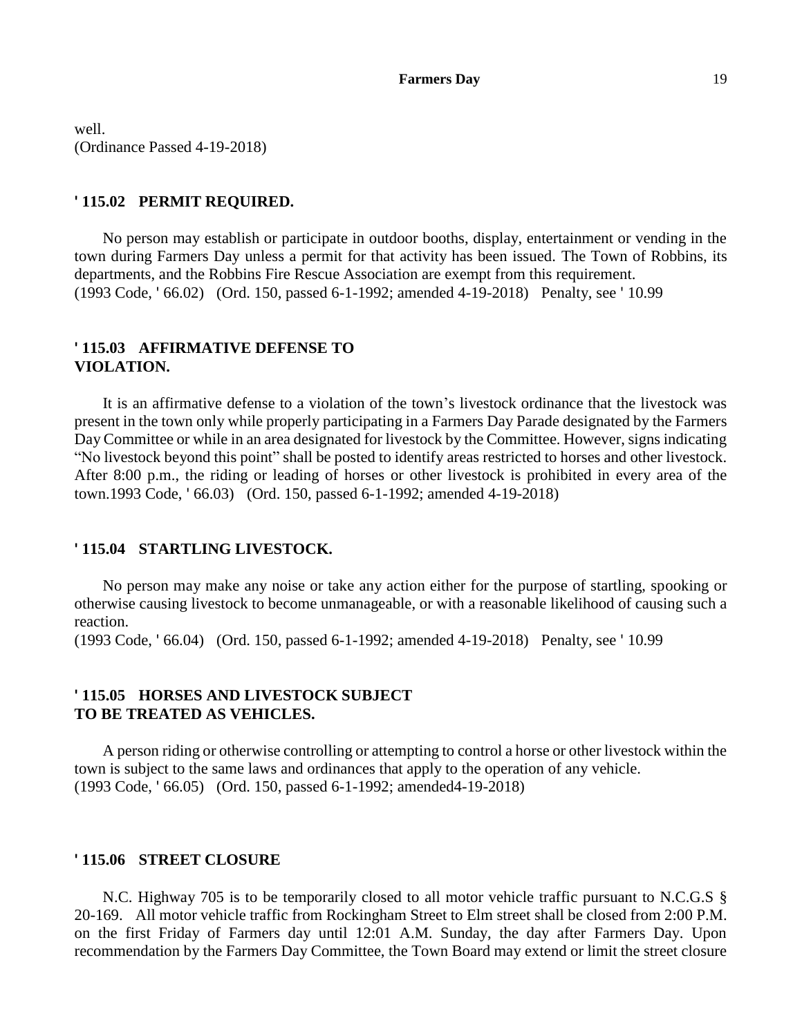well. (Ordinance Passed 4-19-2018)

# **' 115.02 PERMIT REQUIRED.**

No person may establish or participate in outdoor booths, display, entertainment or vending in the town during Farmers Day unless a permit for that activity has been issued. The Town of Robbins, its departments, and the Robbins Fire Rescue Association are exempt from this requirement. (1993 Code, ' 66.02) (Ord. 150, passed 6-1-1992; amended 4-19-2018) Penalty, see ' 10.99

# **' 115.03 AFFIRMATIVE DEFENSE TO VIOLATION.**

It is an affirmative defense to a violation of the town's livestock ordinance that the livestock was present in the town only while properly participating in a Farmers Day Parade designated by the Farmers Day Committee or while in an area designated for livestock by the Committee. However, signs indicating "No livestock beyond this point" shall be posted to identify areas restricted to horses and other livestock. After 8:00 p.m., the riding or leading of horses or other livestock is prohibited in every area of the town.1993 Code, ' 66.03) (Ord. 150, passed 6-1-1992; amended 4-19-2018)

# **' 115.04 STARTLING LIVESTOCK.**

No person may make any noise or take any action either for the purpose of startling, spooking or otherwise causing livestock to become unmanageable, or with a reasonable likelihood of causing such a reaction.

(1993 Code, ' 66.04) (Ord. 150, passed 6-1-1992; amended 4-19-2018) Penalty, see ' 10.99

# **' 115.05 HORSES AND LIVESTOCK SUBJECT TO BE TREATED AS VEHICLES.**

A person riding or otherwise controlling or attempting to control a horse or other livestock within the town is subject to the same laws and ordinances that apply to the operation of any vehicle. (1993 Code, ' 66.05) (Ord. 150, passed 6-1-1992; amended4-19-2018)

# **' 115.06 STREET CLOSURE**

N.C. Highway 705 is to be temporarily closed to all motor vehicle traffic pursuant to N.C.G.S § 20-169. All motor vehicle traffic from Rockingham Street to Elm street shall be closed from 2:00 P.M. on the first Friday of Farmers day until 12:01 A.M. Sunday, the day after Farmers Day. Upon recommendation by the Farmers Day Committee, the Town Board may extend or limit the street closure